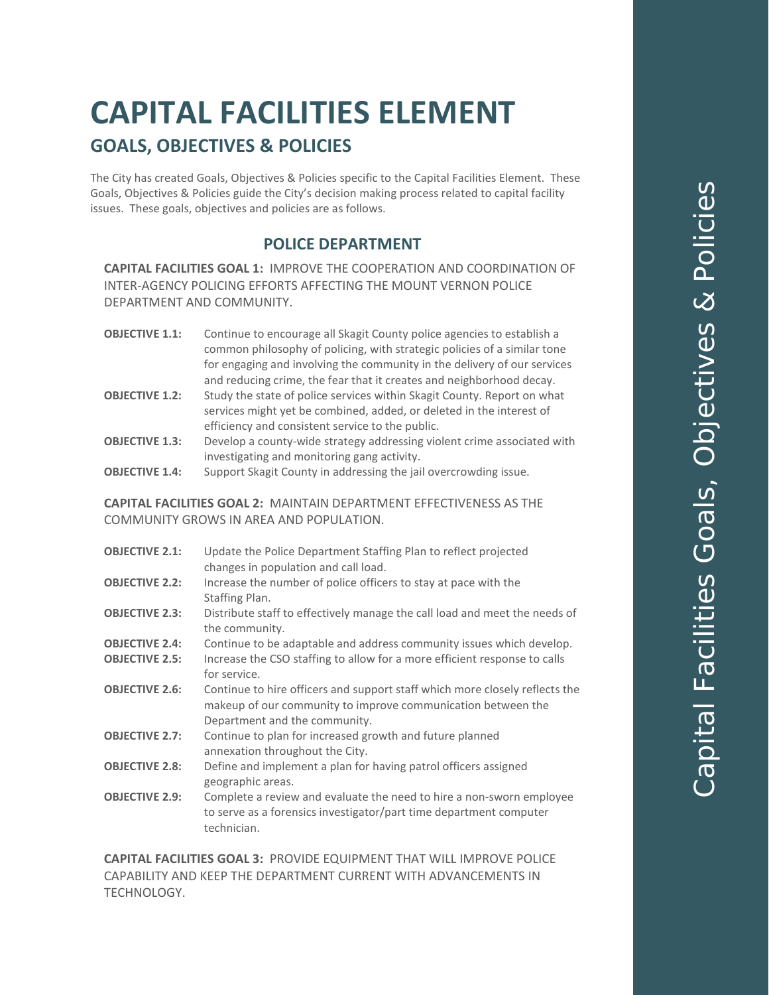# **CAPITAL FACILITIES ELEMENT GOALS, OBJECTIVES & POLICIES**

The City has created Goals, Objectives & Policies specific to the Capital Facilities Element. These Goals, Objectives & Policies guide the City's decision making process related to capital facility issues. These goals, objectives and policies are as follows.

## **POLICE DEPARTMENT**

**CAPITAL FACILITIES GOAL 1:** IMPROVE THE COOPERATION AND COORDINATION OF INTER-AGENCY POLICING EFFORTS AFFECTING THE MOUNT VERNON POLICE DEPARTMENT AND COMMUNITY.

| <b>OBJECTIVE 1.1:</b> | Continue to encourage all Skagit County police agencies to establish a   |
|-----------------------|--------------------------------------------------------------------------|
|                       | common philosophy of policing, with strategic policies of a similar tone |
|                       | for engaging and involving the community in the delivery of our services |
|                       | and reducing crime, the fear that it creates and neighborhood decay.     |
|                       |                                                                          |

- **OBJECTIVE 1.2:** Study the state of police services within Skagit County. Report on what services might yet be combined, added, or deleted in the interest of efficiency and consistent service to the public.
- **OBJECTIVE 1.3:** Develop a county-wide strategy addressing violent crime associated with investigating and monitoring gang activity.

**OBJECTIVE 1.4:** Support Skagit County in addressing the jail overcrowding issue.

**CAPITAL FACILITIES GOAL 2:** MAINTAIN DEPARTMENT EFFECTIVENESS AS THE COMMUNITY GROWS IN AREA AND POPULATION.

| <b>OBJECTIVE 2.1:</b> | Update the Police Department Staffing Plan to reflect projected<br>changes in population and call load.                                                                      |
|-----------------------|------------------------------------------------------------------------------------------------------------------------------------------------------------------------------|
| <b>OBJECTIVE 2.2:</b> | Increase the number of police officers to stay at pace with the<br>Staffing Plan.                                                                                            |
| <b>OBJECTIVE 2.3:</b> | Distribute staff to effectively manage the call load and meet the needs of<br>the community.                                                                                 |
| <b>OBJECTIVE 2.4:</b> | Continue to be adaptable and address community issues which develop.                                                                                                         |
| <b>OBJECTIVE 2.5:</b> | Increase the CSO staffing to allow for a more efficient response to calls<br>for service.                                                                                    |
| <b>OBJECTIVE 2.6:</b> | Continue to hire officers and support staff which more closely reflects the<br>makeup of our community to improve communication between the<br>Department and the community. |
| <b>OBJECTIVE 2.7:</b> | Continue to plan for increased growth and future planned<br>annexation throughout the City.                                                                                  |
| <b>OBJECTIVE 2.8:</b> | Define and implement a plan for having patrol officers assigned<br>geographic areas.                                                                                         |
| <b>OBJECTIVE 2.9:</b> | Complete a review and evaluate the need to hire a non-sworn employee<br>to serve as a forensics investigator/part time department computer<br>technician.                    |

**CAPITAL FACILITIES GOAL 3:** PROVIDE EQUIPMENT THAT WILL IMPROVE POLICE CAPABILITY AND KEEP THE DEPARTMENT CURRENT WITH ADVANCEMENTS IN TECHNOLOGY.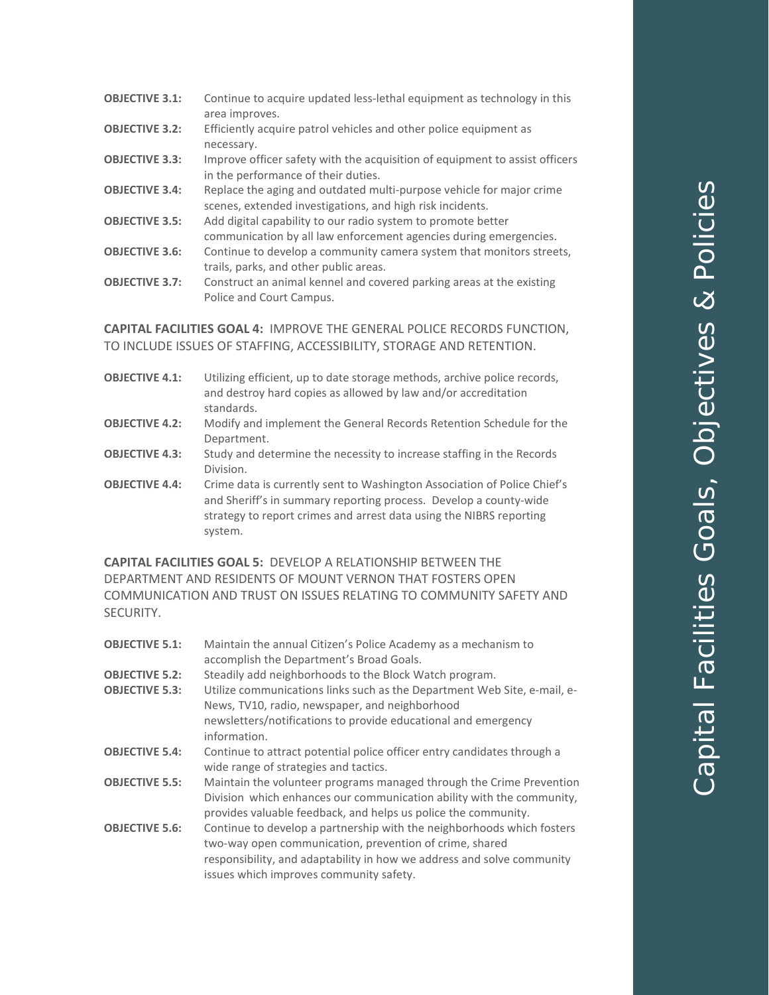| Continue to acquire updated less-lethal equipment as technology in this     |
|-----------------------------------------------------------------------------|
| area improves.                                                              |
| Efficiently acquire patrol vehicles and other police equipment as           |
| necessary.                                                                  |
| Improve officer safety with the acquisition of equipment to assist officers |
| in the performance of their duties.                                         |
| Replace the aging and outdated multi-purpose vehicle for major crime        |
| scenes, extended investigations, and high risk incidents.                   |
| Add digital capability to our radio system to promote better                |
| communication by all law enforcement agencies during emergencies.           |
| Continue to develop a community camera system that monitors streets,        |
| trails, parks, and other public areas.                                      |
| Construct an animal kennel and covered parking areas at the existing        |
| Police and Court Campus.                                                    |
|                                                                             |

**OBJECTIVE 3.1:** Continue to acquire updated less-lethal equipment as technology in this

#### **CAPITAL FACILITIES GOAL 4:** IMPROVE THE GENERAL POLICE RECORDS FUNCTION, TO INCLUDE ISSUES OF STAFFING, ACCESSIBILITY, STORAGE AND RETENTION.

| <b>OBJECTIVE 4.1:</b> | Utilizing efficient, up to date storage methods, archive police records,<br>and destroy hard copies as allowed by law and/or accreditation<br>standards.                                                                        |
|-----------------------|---------------------------------------------------------------------------------------------------------------------------------------------------------------------------------------------------------------------------------|
| <b>OBJECTIVE 4.2:</b> | Modify and implement the General Records Retention Schedule for the<br>Department.                                                                                                                                              |
| <b>OBJECTIVE 4.3:</b> | Study and determine the necessity to increase staffing in the Records<br>Division.                                                                                                                                              |
| <b>OBJECTIVE 4.4:</b> | Crime data is currently sent to Washington Association of Police Chief's<br>and Sheriff's in summary reporting process. Develop a county-wide<br>strategy to report crimes and arrest data using the NIBRS reporting<br>system. |

**CAPITAL FACILITIES GOAL 5:** DEVELOP A RELATIONSHIP BETWEEN THE DEPARTMENT AND RESIDENTS OF MOUNT VERNON THAT FOSTERS OPEN COMMUNICATION AND TRUST ON ISSUES RELATING TO COMMUNITY SAFETY AND SECURITY.

| <b>OBJECTIVE 5.1:</b> | Maintain the annual Citizen's Police Academy as a mechanism to<br>accomplish the Department's Broad Goals.                                                                                                                                             |
|-----------------------|--------------------------------------------------------------------------------------------------------------------------------------------------------------------------------------------------------------------------------------------------------|
| <b>OBJECTIVE 5.2:</b> | Steadily add neighborhoods to the Block Watch program.                                                                                                                                                                                                 |
| <b>OBJECTIVE 5.3:</b> | Utilize communications links such as the Department Web Site, e-mail, e-<br>News, TV10, radio, newspaper, and neighborhood                                                                                                                             |
|                       | newsletters/notifications to provide educational and emergency<br>information.                                                                                                                                                                         |
| <b>OBJECTIVE 5.4:</b> | Continue to attract potential police officer entry candidates through a<br>wide range of strategies and tactics.                                                                                                                                       |
| <b>OBJECTIVE 5.5:</b> | Maintain the volunteer programs managed through the Crime Prevention<br>Division which enhances our communication ability with the community,<br>provides valuable feedback, and helps us police the community.                                        |
| <b>OBJECTIVE 5.6:</b> | Continue to develop a partnership with the neighborhoods which fosters<br>two-way open communication, prevention of crime, shared<br>responsibility, and adaptability in how we address and solve community<br>issues which improves community safety. |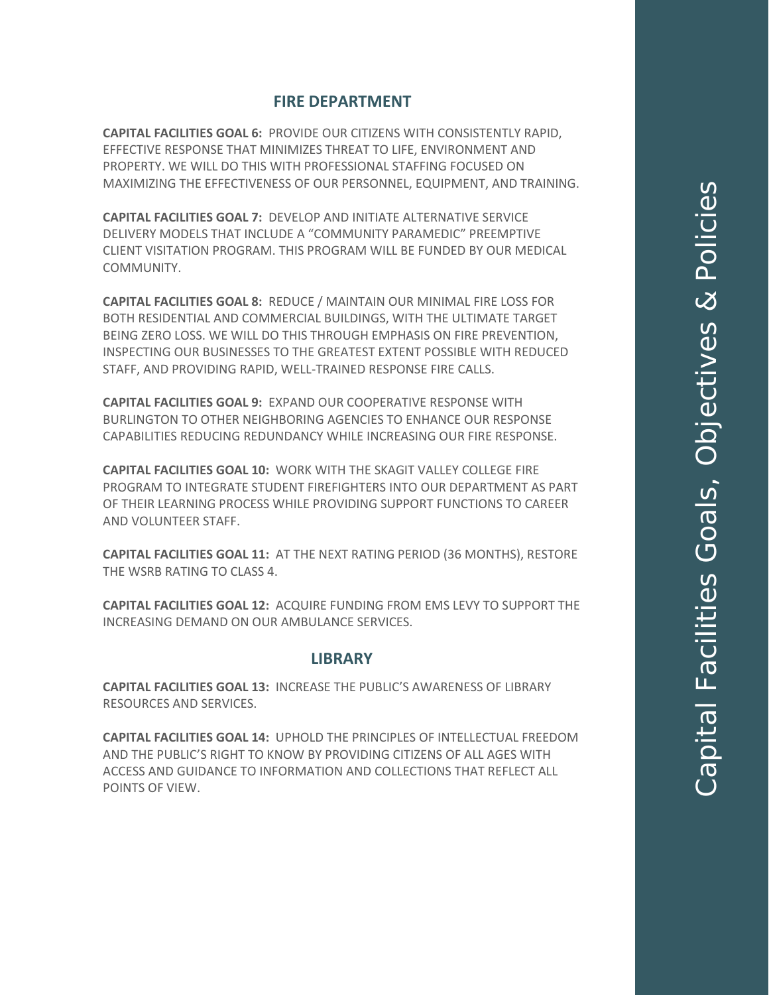### **FIRE DEPARTMENT**

**CAPITAL FACILITIES GOAL 6:** PROVIDE OUR CITIZENS WITH CONSISTENTLY RAPID, EFFECTIVE RESPONSE THAT MINIMIZES THREAT TO LIFE, ENVIRONMENT AND PROPERTY. WE WILL DO THIS WITH PROFESSIONAL STAFFING FOCUSED ON MAXIMIZING THE EFFECTIVENESS OF OUR PERSONNEL, EQUIPMENT, AND TRAINING.

**CAPITAL FACILITIES GOAL 7:** DEVELOP AND INITIATE ALTERNATIVE SERVICE DELIVERY MODELS THAT INCLUDE A "COMMUNITY PARAMEDIC" PREEMPTIVE CLIENT VISITATION PROGRAM. THIS PROGRAM WILL BE FUNDED BY OUR MEDICAL COMMUNITY.

**CAPITAL FACILITIES GOAL 8:** REDUCE / MAINTAIN OUR MINIMAL FIRE LOSS FOR BOTH RESIDENTIAL AND COMMERCIAL BUILDINGS, WITH THE ULTIMATE TARGET BEING ZERO LOSS. WE WILL DO THIS THROUGH EMPHASIS ON FIRE PREVENTION, INSPECTING OUR BUSINESSES TO THE GREATEST EXTENT POSSIBLE WITH REDUCED STAFF, AND PROVIDING RAPID, WELL-TRAINED RESPONSE FIRE CALLS.

**CAPITAL FACILITIES GOAL 9:** EXPAND OUR COOPERATIVE RESPONSE WITH BURLINGTON TO OTHER NEIGHBORING AGENCIES TO ENHANCE OUR RESPONSE CAPABILITIES REDUCING REDUNDANCY WHILE INCREASING OUR FIRE RESPONSE.

**CAPITAL FACILITIES GOAL 10:** WORK WITH THE SKAGIT VALLEY COLLEGE FIRE PROGRAM TO INTEGRATE STUDENT FIREFIGHTERS INTO OUR DEPARTMENT AS PART OF THEIR LEARNING PROCESS WHILE PROVIDING SUPPORT FUNCTIONS TO CAREER AND VOLUNTEER STAFF.

**CAPITAL FACILITIES GOAL 11:** AT THE NEXT RATING PERIOD (36 MONTHS), RESTORE THE WSRB RATING TO CLASS 4.

**CAPITAL FACILITIES GOAL 12:** ACQUIRE FUNDING FROM EMS LEVY TO SUPPORT THE INCREASING DEMAND ON OUR AMBULANCE SERVICES.

#### **LIBRARY**

**CAPITAL FACILITIES GOAL 13:** INCREASE THE PUBLIC'S AWARENESS OF LIBRARY RESOURCES AND SERVICES.

**CAPITAL FACILITIES GOAL 14:** UPHOLD THE PRINCIPLES OF INTELLECTUAL FREEDOM AND THE PUBLIC'S RIGHT TO KNOW BY PROVIDING CITIZENS OF ALL AGES WITH ACCESS AND GUIDANCE TO INFORMATION AND COLLECTIONS THAT REFLECT ALL POINTS OF VIEW.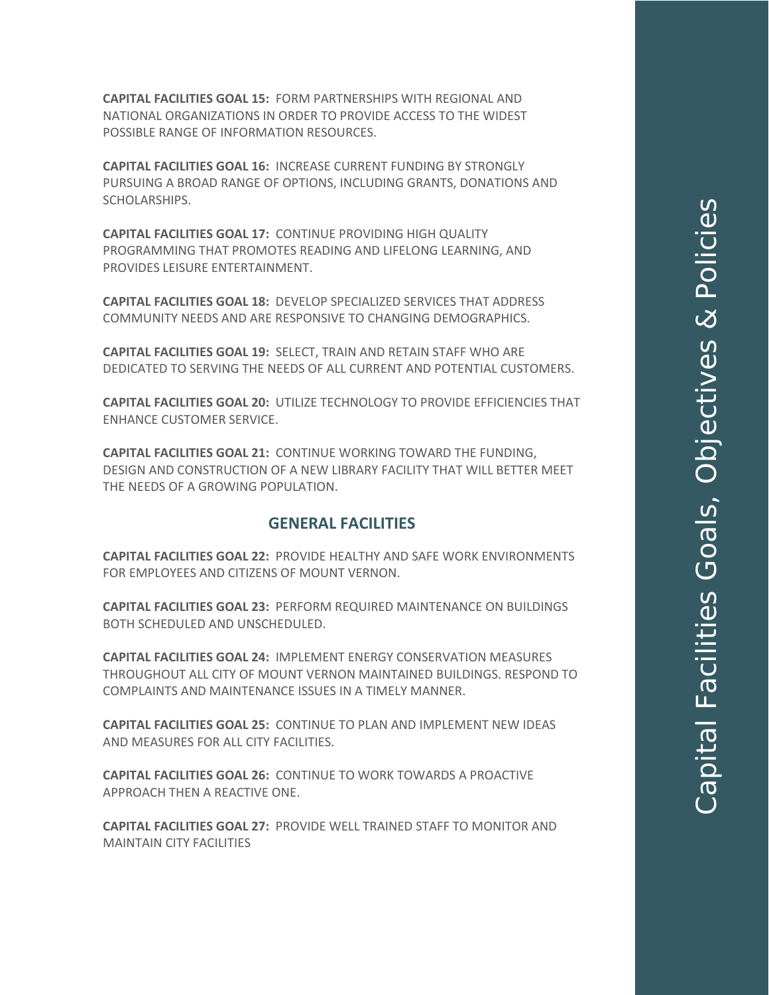**CAPITAL FACILITIES GOAL 15:** FORM PARTNERSHIPS WITH REGIONAL AND NATIONAL ORGANIZATIONS IN ORDER TO PROVIDE ACCESS TO THE WIDEST POSSIBLE RANGE OF INFORMATION RESOURCES.

**CAPITAL FACILITIES GOAL 16:** INCREASE CURRENT FUNDING BY STRONGLY PURSUING A BROAD RANGE OF OPTIONS, INCLUDING GRANTS, DONATIONS AND SCHOLARSHIPS.

**CAPITAL FACILITIES GOAL 17:** CONTINUE PROVIDING HIGH QUALITY PROGRAMMING THAT PROMOTES READING AND LIFELONG LEARNING, AND PROVIDES LEISURE ENTERTAINMENT.

**CAPITAL FACILITIES GOAL 18:** DEVELOP SPECIALIZED SERVICES THAT ADDRESS COMMUNITY NEEDS AND ARE RESPONSIVE TO CHANGING DEMOGRAPHICS.

**CAPITAL FACILITIES GOAL 19:** SELECT, TRAIN AND RETAIN STAFF WHO ARE DEDICATED TO SERVING THE NEEDS OF ALL CURRENT AND POTENTIAL CUSTOMERS.

**CAPITAL FACILITIES GOAL 20:** UTILIZE TECHNOLOGY TO PROVIDE EFFICIENCIES THAT ENHANCE CUSTOMER SERVICE.

**CAPITAL FACILITIES GOAL 21:** CONTINUE WORKING TOWARD THE FUNDING, DESIGN AND CONSTRUCTION OF A NEW LIBRARY FACILITY THAT WILL BETTER MEET THE NEEDS OF A GROWING POPULATION.

#### **GENERAL FACILITIES**

**CAPITAL FACILITIES GOAL 22:** PROVIDE HEALTHY AND SAFE WORK ENVIRONMENTS FOR EMPLOYEES AND CITIZENS OF MOUNT VERNON.

**CAPITAL FACILITIES GOAL 23:** PERFORM REQUIRED MAINTENANCE ON BUILDINGS BOTH SCHEDULED AND UNSCHEDULED.

**CAPITAL FACILITIES GOAL 24:** IMPLEMENT ENERGY CONSERVATION MEASURES THROUGHOUT ALL CITY OF MOUNT VERNON MAINTAINED BUILDINGS. RESPOND TO COMPLAINTS AND MAINTENANCE ISSUES IN A TIMELY MANNER.

**CAPITAL FACILITIES GOAL 25:** CONTINUE TO PLAN AND IMPLEMENT NEW IDEAS AND MEASURES FOR ALL CITY FACILITIES.

**CAPITAL FACILITIES GOAL 26:** CONTINUE TO WORK TOWARDS A PROACTIVE APPROACH THEN A REACTIVE ONE.

**CAPITAL FACILITIES GOAL 27:** PROVIDE WELL TRAINED STAFF TO MONITOR AND MAINTAIN CITY FACILITIES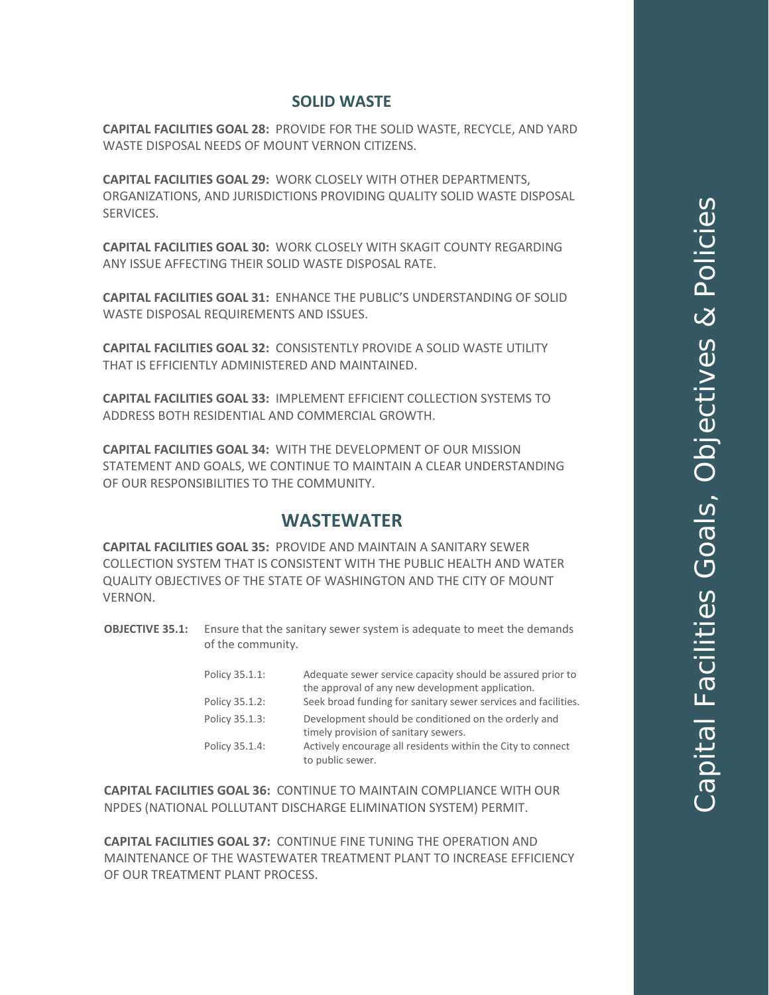### **SOLID WASTE**

**CAPITAL FACILITIES GOAL 28:** PROVIDE FOR THE SOLID WASTE, RECYCLE, AND YARD WASTE DISPOSAL NEEDS OF MOUNT VERNON CITIZENS.

**CAPITAL FACILITIES GOAL 29:** WORK CLOSELY WITH OTHER DEPARTMENTS, ORGANIZATIONS, AND JURISDICTIONS PROVIDING QUALITY SOLID WASTE DISPOSAL SERVICES.

**CAPITAL FACILITIES GOAL 30:** WORK CLOSELY WITH SKAGIT COUNTY REGARDING ANY ISSUE AFFECTING THEIR SOLID WASTE DISPOSAL RATE.

**CAPITAL FACILITIES GOAL 31:** ENHANCE THE PUBLIC'S UNDERSTANDING OF SOLID WASTE DISPOSAL REQUIREMENTS AND ISSUES.

**CAPITAL FACILITIES GOAL 32:** CONSISTENTLY PROVIDE A SOLID WASTE UTILITY THAT IS EFFICIENTLY ADMINISTERED AND MAINTAINED.

**CAPITAL FACILITIES GOAL 33:** IMPLEMENT EFFICIENT COLLECTION SYSTEMS TO ADDRESS BOTH RESIDENTIAL AND COMMERCIAL GROWTH.

**CAPITAL FACILITIES GOAL 34:** WITH THE DEVELOPMENT OF OUR MISSION STATEMENT AND GOALS, WE CONTINUE TO MAINTAIN A CLEAR UNDERSTANDING OF OUR RESPONSIBILITIES TO THE COMMUNITY.

# **WASTEWATER**

**CAPITAL FACILITIES GOAL 35:** PROVIDE AND MAINTAIN A SANITARY SEWER COLLECTION SYSTEM THAT IS CONSISTENT WITH THE PUBLIC HEALTH AND WATER QUALITY OBJECTIVES OF THE STATE OF WASHINGTON AND THE CITY OF MOUNT VERNON.

**OBJECTIVE 35.1:** Ensure that the sanitary sewer system is adequate to meet the demands of the community.

| Policy 35.1.1: | Adequate sewer service capacity should be assured prior to     |
|----------------|----------------------------------------------------------------|
|                | the approval of any new development application.               |
| Policy 35.1.2: | Seek broad funding for sanitary sewer services and facilities. |
| Policy 35.1.3: | Development should be conditioned on the orderly and           |
|                | timely provision of sanitary sewers.                           |
| Policy 35.1.4: | Actively encourage all residents within the City to connect    |
|                | to public sewer.                                               |

**CAPITAL FACILITIES GOAL 36:** CONTINUE TO MAINTAIN COMPLIANCE WITH OUR NPDES (NATIONAL POLLUTANT DISCHARGE ELIMINATION SYSTEM) PERMIT.

**CAPITAL FACILITIES GOAL 37:** CONTINUE FINE TUNING THE OPERATION AND MAINTENANCE OF THE WASTEWATER TREATMENT PLANT TO INCREASE EFFICIENCY OF OUR TREATMENT PLANT PROCESS.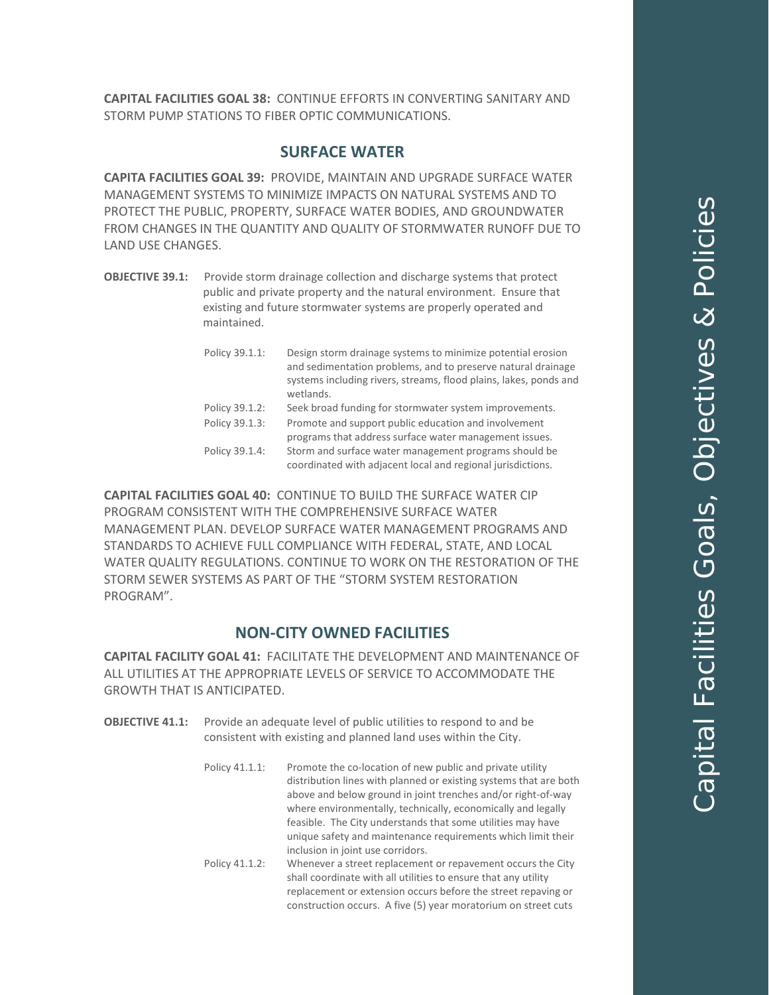**CAPITAL FACILITIES GOAL 38:** CONTINUE EFFORTS IN CONVERTING SANITARY AND STORM PUMP STATIONS TO FIBER OPTIC COMMUNICATIONS.

#### **SURFACE WATER**

**CAPITA FACILITIES GOAL 39:** PROVIDE, MAINTAIN AND UPGRADE SURFACE WATER MANAGEMENT SYSTEMS TO MINIMIZE IMPACTS ON NATURAL SYSTEMS AND TO PROTECT THE PUBLIC, PROPERTY, SURFACE WATER BODIES, AND GROUNDWATER FROM CHANGES IN THE QUANTITY AND QUALITY OF STORMWATER RUNOFF DUE TO LAND USE CHANGES.

**OBJECTIVE 39.1:** Provide storm drainage collection and discharge systems that protect public and private property and the natural environment. Ensure that existing and future stormwater systems are properly operated and maintained.

| Policy 39.1.1: | Design storm drainage systems to minimize potential erosion<br>and sedimentation problems, and to preserve natural drainage<br>systems including rivers, streams, flood plains, lakes, ponds and<br>wetlands. |
|----------------|---------------------------------------------------------------------------------------------------------------------------------------------------------------------------------------------------------------|
| Policy 39.1.2: | Seek broad funding for stormwater system improvements.                                                                                                                                                        |
| Policy 39.1.3: | Promote and support public education and involvement                                                                                                                                                          |
|                | programs that address surface water management issues.                                                                                                                                                        |
| Policy 39.1.4: | Storm and surface water management programs should be<br>coordinated with adjacent local and regional jurisdictions.                                                                                          |

**CAPITAL FACILITIES GOAL 40:** CONTINUE TO BUILD THE SURFACE WATER CIP PROGRAM CONSISTENT WITH THE COMPREHENSIVE SURFACE WATER MANAGEMENT PLAN. DEVELOP SURFACE WATER MANAGEMENT PROGRAMS AND STANDARDS TO ACHIEVE FULL COMPLIANCE WITH FEDERAL, STATE, AND LOCAL WATER QUALITY REGULATIONS. CONTINUE TO WORK ON THE RESTORATION OF THE STORM SEWER SYSTEMS AS PART OF THE "STORM SYSTEM RESTORATION PROGRAM".

#### **NON-CITY OWNED FACILITIES**

**CAPITAL FACILITY GOAL 41:** FACILITATE THE DEVELOPMENT AND MAINTENANCE OF ALL UTILITIES AT THE APPROPRIATE LEVELS OF SERVICE TO ACCOMMODATE THE GROWTH THAT IS ANTICIPATED.

- **OBJECTIVE 41.1:** Provide an adequate level of public utilities to respond to and be consistent with existing and planned land uses within the City.
	- Policy 41.1.1: Promote the co-location of new public and private utility distribution lines with planned or existing systems that are both above and below ground in joint trenches and/or right-of-way where environmentally, technically, economically and legally feasible. The City understands that some utilities may have unique safety and maintenance requirements which limit their inclusion in joint use corridors.
		- Policy 41.1.2: Whenever a street replacement or repavement occurs the City shall coordinate with all utilities to ensure that any utility replacement or extension occurs before the street repaving or construction occurs. A five (5) year moratorium on street cuts